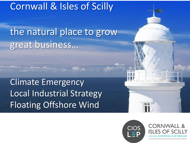## Cornwall & Isles of Scilly

the natural place to grow great business…

Climate Emergency Local Industrial Strategy Floating Offshore Wind



**CORNWALL &** AL ENTERPRISE PARTNERS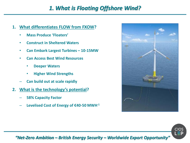### *1. What is Floating Offshore Wind?*

- **1. What differentiates FLOW from FXOW?**
	- **Mass Produce 'Floaters'**
	- **Construct in Sheltered Waters**
	- **Can Embark Largest Turbines – 10-15MW**
	- **Can Access Best Wind Resources**
		- **Deeper Waters**
		- **Higher Wind Strengths**
	- **Can build out at scale rapidly**
- **2. What is the technology's potential?**
	- **58% Capacity Factor**
	- **Levelised Cost of Energy of €40-50 MWH-1**





*"Net-Zero Ambition – British Energy Security – Worldwide Export Opportunity"*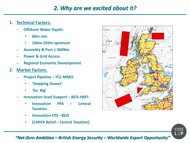### *2. Why are we excited about it?*

- **1. Technical Factors:**
	- **Offshore Water Depth:**
		- **60m min**
		- **100m-250m optimum**
	- **Assembly & Port ≤ 360Nm**
	- **Power & Grid Access**
	- **Regional Economic Development**
- **2. Market Factors:**
	- **Project Pipeline – TCE-MMO:**
		- **'Stepping Stones'**
		- **'Go Big'**
	- **Innovation Seed Support – BEIS-HMT:**
		- **Innovation PPA – Central Taxation**
		- **Innovation CfD - BEIS**
		- **[CAPEX Relief – Central Taxation]**





#### *"Net-Zero Ambition – British Energy Security – Worldwide Export Opportunity"*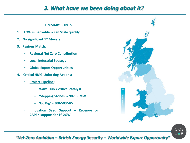### *3. What have we been doing about it?*

#### **SUMMARY POINTS**

- **1. FLOW is Bankable & can Scale quickly**
- **2. No significant 1 st Movers:**
- **3. Regions Match:**
	- **Regional Net Zero Contribution**
	- **Local Industrial Strategy**
	- **Global Export Opportunities**
- **4. Critical HMG Unlocking Actions:**
	- **Project Pipeline:**
		- **Wave Hub = critical catalyst**
		- **'Stepping Stones' = 90-150MW**
		- **'Go Big' = 300-500MW**
	- **Innovation Seed Support – Revenue or CAPEX support for 1 st 2GW**





#### *"Net-Zero Ambition – British Energy Security – Worldwide Export Opportunity"*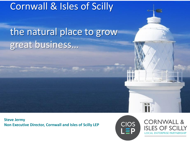# Cornwall & Isles of Scilly

# the natural place to grow great business…

**Steve Jermy Non Executive Director, Cornwall and Isles of Scilly LEP**



**CORNWALL &** ISI ES OF S **LOCAL ENTERPRISE PARTNERSHIP**